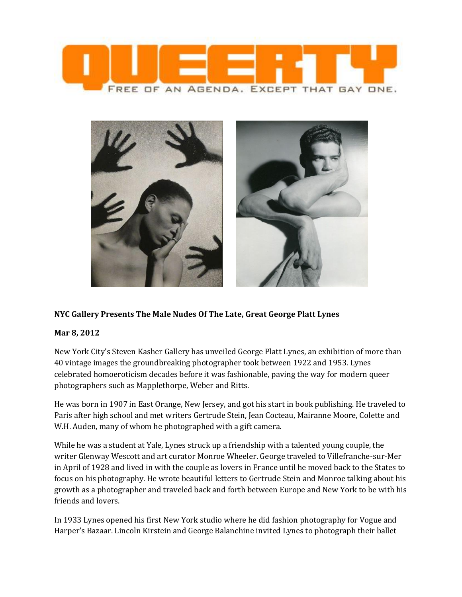



## **NYC Gallery Presents The Male Nudes Of The Late, Great George Platt Lynes**

## **Mar 8, 2012**

New York City's Steven Kasher Gallery has unveiled George Platt Lynes, an exhibition of more than 40 vintage images the groundbreaking photographer took between 1922 and 1953. Lynes celebrated homoeroticism decades before it was fashionable, paving the way for modern queer photographers such as Mapplethorpe, Weber and Ritts.

He was born in 1907 in East Orange, New Jersey, and got his start in book publishing. He traveled to Paris after high school and met writers Gertrude Stein, Jean Cocteau, Mairanne Moore, Colette and W.H. Auden, many of whom he photographed with a gift camera.

While he was a student at Yale, Lynes struck up a friendship with a talented young couple, the writer Glenway Wescott and art curator Monroe Wheeler. George traveled to Villefranche-sur-Mer in April of 1928 and lived in with the couple as lovers in France until he moved back to the States to focus on his photography. He wrote beautiful letters to Gertrude Stein and Monroe talking about his growth as a photographer and traveled back and forth between Europe and New York to be with his friends and lovers.

In 1933 Lynes opened his first New York studio where he did fashion photography for Vogue and Harper's Bazaar. Lincoln Kirstein and George Balanchine invited Lynes to photograph their ballet